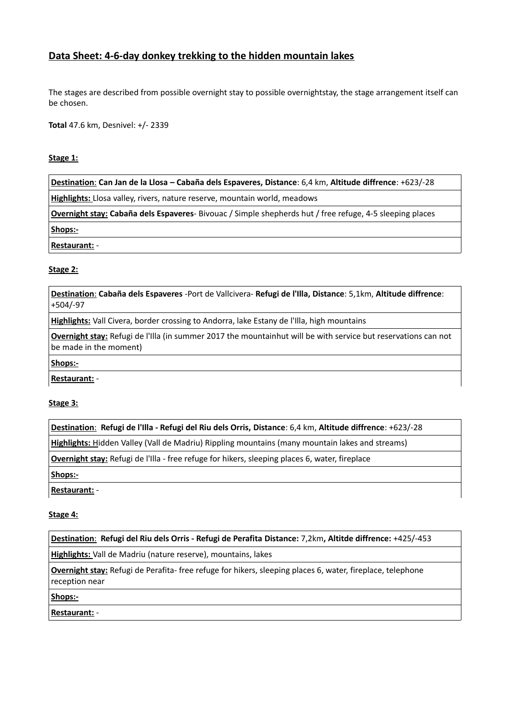# **Data Sheet: 4-6-day donkey trekking to the hidden mountain lakes**

The stages are described from possible overnight stay to possible overnightstay, the stage arrangement itself can be chosen.

**Total** 47.6 km, Desnivel: +/- 2339

#### **Stage 1:**

 **Destination**: **Can Jan de la Llosa – Cabaña dels Espaveres, Distance**: 6,4 km, **Altitude diffrence**: +623/-28

**Highlights:** Llosa valley, rivers, nature reserve, mountain world, meadows

**Overnight stay: Cabaña dels Espaveres**- Bivouac / Simple shepherds hut / free refuge, 4-5 sleeping places

**Shops:-**

**Restaurant:** -

# **Stage 2:**

 **Destination**: **Cabaña dels Espaveres** -Port de Vallcivera- **Refugi de l'Illa, Distance**: 5,1km, **Altitude diffrence**: +504/-97

**Highlights:** Vall Civera, border crossing to Andorra, lake Estany de l'Illa, high mountains

**Overnight stay:** Refugi de l'Illa (in summer 2017 the mountainhut will be with service but reservations can not be made in the moment)

#### **Shops:-**

**Restaurant:** -

# **Stage 3:**

 **Destination**: **Refugi de l'Illa - Refugi del Riu dels Orris, Distance**: 6,4 km, **Altitude diffrence**: +623/-28

 **Highlights:** Hidden Valley (Vall de Madriu) Rippling mountains (many mountain lakes and streams)

**Overnight stay:** Refugi de l'Illa - free refuge for hikers, sleeping places 6, water, fireplace

**Shops:-**

**Restaurant:** -

# **Stage 4:**

 **Destination**: **Refugi del Riu dels Orris - Refugi de Perafita Distance:** 7,2km**, Altitde diffrence:** +425/-453

**Highlights:** Vall de Madriu (nature reserve), mountains, lakes

**Overnight stay:** Refugi de Perafita- free refuge for hikers, sleeping places 6, water, fireplace, telephone reception near

**Shops:-**

**Restaurant:** -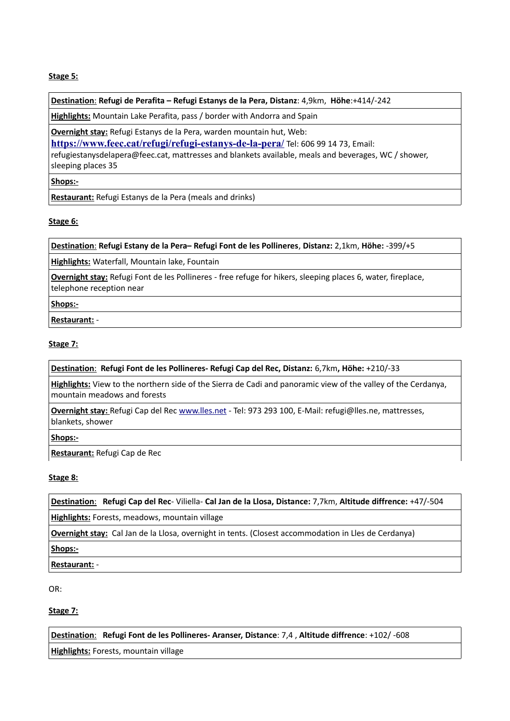# **Stage 5:**

 **Destination**: **Refugi de Perafita – Refugi Estanys de la Pera, Distanz**: 4,9km, **Höhe**:+414/-242

**Highlights:** Mountain Lake Perafita, pass / border with Andorra and Spain

**Overnight stay:** Refugi Estanys de la Pera, warden mountain hut, Web:

**<https://www.feec.cat/refugi/refugi-estanys-de-la-pera/>** Tel: 606 99 14 73, Email:

refugiestanysdelapera@feec.cat, mattresses and blankets available, meals and beverages, WC / shower, sleeping places 35

#### **Shops:-**

**Restaurant:** Refugi Estanys de la Pera (meals and drinks)

# **Stage 6:**

 **Destination**: **Refugi Estany de la Pera– Refugi Font de les Pollineres**, **Distanz:** 2,1km, **Höhe:** -399/+5

**Highlights:** Waterfall, Mountain lake, Fountain

**Overnight stay:** Refugi Font de les Pollineres - free refuge for hikers, sleeping places 6, water, fireplace, telephone reception near

#### **Shops:-**

**Restaurant:** -

# **Stage 7:**

 **Destination**: **Refugi Font de les Pollineres- Refugi Cap del Rec, Distanz:** 6,7km**, Höhe:** +210/-33

**Highlights:** View to the northern side of the Sierra de Cadi and panoramic view of the valley of the Cerdanya, mountain meadows and forests

**Overnight stay:** Refugi Cap del Rec [www.lles.net](http://www.lles.net/) - Tel: 973 293 100, E-Mail: refugi@lles.ne, mattresses, blankets, shower

**Shops:-**

**Restaurant:** Refugi Cap de Rec

# **Stage 8:**

 **Destination**: **Refugi Cap del Rec**- Viliella- **Cal Jan de la Llosa, Distance:** 7,7km, **Altitude diffrence:** +47/-504

**Highlights:** Forests, meadows, mountain village

**Overnight stay:** Cal Jan de la Llosa, overnight in tents. (Closest accommodation in Lles de Cerdanya)

**Shops:-**

**Restaurant:** -

OR:

# **Stage 7:**

 **Destination**: **Refugi Font de les Pollineres- Aranser, Distance**: 7,4 , **Altitude diffrence**: +102/ -608

**Highlights:** Forests, mountain village